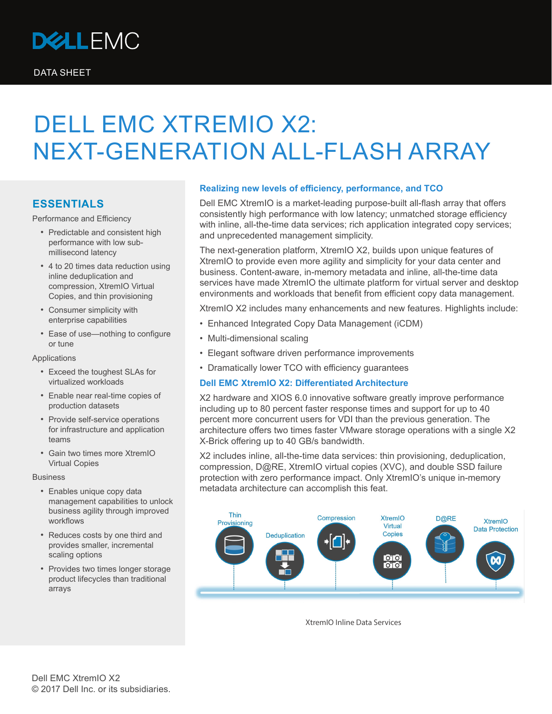

# DELL EMC XTREMIO X2: NEXT-GENERATION ALL-FLASH ARRAY

## **ESSENTIALS**

Performance and Efficiency

- Predictable and consistent high performance with low submillisecond latency
- 4 to 20 times data reduction using inline deduplication and compression, XtremIO Virtual Copies, and thin provisioning
- Consumer simplicity with enterprise capabilities
- Ease of use—nothing to configure or tune

Applications

- Exceed the toughest SLAs for virtualized workloads
- Enable near real-time copies of production datasets
- Provide self-service operations for infrastructure and application teams
- Gain two times more XtremIO Virtual Copies

Business

- Enables unique copy data management capabilities to unlock business agility through improved workflows
- Reduces costs by one third and provides smaller, incremental scaling options
- Provides two times longer storage product lifecycles than traditional arrays

## **Realizing new levels of efficiency, performance, and TCO**

Dell EMC XtremIO is a market-leading purpose-built all-flash array that offers consistently high performance with low latency; unmatched storage efficiency with inline, all-the-time data services; rich application integrated copy services; and unprecedented management simplicity.

The next-generation platform, XtremIO X2, builds upon unique features of XtremIO to provide even more agility and simplicity for your data center and business. Content-aware, in-memory metadata and inline, all-the-time data services have made XtremIO the ultimate platform for virtual server and desktop environments and workloads that benefit from efficient copy data management.

XtremIO X2 includes many enhancements and new features. Highlights include:

- Enhanced Integrated Copy Data Management (iCDM)
- Multi-dimensional scaling
- Elegant software driven performance improvements
- Dramatically lower TCO with efficiency guarantees

#### **Dell EMC XtremIO X2: Differentiated Architecture**

X2 hardware and XIOS 6.0 innovative software greatly improve performance including up to 80 percent faster response times and support for up to 40 percent more concurrent users for VDI than the previous generation. The architecture offers two times faster VMware storage operations with a single X2 X-Brick offering up to 40 GB/s bandwidth.

X2 includes inline, all-the-time data services: thin provisioning, deduplication, compression, D@RE, XtremIO virtual copies (XVC), and double SSD failure protection with zero performance impact. Only XtremIO's unique in-memory metadata architecture can accomplish this feat.



XtremIO Inline Data Services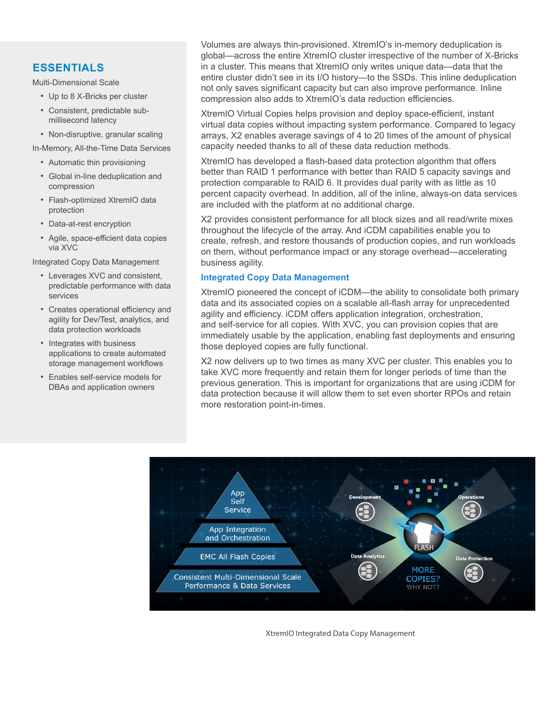# **ESSENTIALS**

Multi-Dimensional Scale

- Up to 8 X-Bricks per cluster
- Consistent, predictable submillisecond latency
- Non-disruptive, granular scaling

In-Memory, All-the-Time Data Services

- Automatic thin provisioning
- Global in-line deduplication and compression
- Flash-optimized XtremIO data protection
- Data-at-rest encryption
- Agile, space-efficient data copies via XVC

Integrated Copy Data Management

- Leverages XVC and consistent, predictable performance with data services
- Creates operational efficiency and agility for Dev/Test, analytics, and data protection workloads
- Integrates with business applications to create automated storage management workflows
- Enables self-service models for DBAs and application owners

Volumes are always thin-provisioned. XtremIO's in-memory deduplication is global—across the entire XtremIO cluster irrespective of the number of X-Bricks in a cluster. This means that XtremIO only writes unique data—data that the entire cluster didn't see in its I/O history—to the SSDs. This inline deduplication not only saves significant capacity but can also improve performance. Inline compression also adds to XtremIO's data reduction efficiencies.

XtremIO Virtual Copies helps provision and deploy space-efficient, instant virtual data copies without impacting system performance. Compared to legacy arrays, X2 enables average savings of 4 to 20 times of the amount of physical capacity needed thanks to all of these data reduction methods.

XtremIO has developed a flash-based data protection algorithm that offers better than RAID 1 performance with better than RAID 5 capacity savings and protection comparable to RAID 6. It provides dual parity with as little as 10 percent capacity overhead. In addition, all of the inline, always-on data services are included with the platform at no additional charge.

X2 provides consistent performance for all block sizes and all read/write mixes throughout the lifecycle of the array. And iCDM capabilities enable you to create, refresh, and restore thousands of production copies, and run workloads on them, without performance impact or any storage overhead—accelerating business agility.

## **Integrated Copy Data Management**

XtremIO pioneered the concept of iCDM—the ability to consolidate both primary data and its associated copies on a scalable all-flash array for unprecedented agility and efficiency. iCDM offers application integration, orchestration, and self-service for all copies. With XVC, you can provision copies that are immediately usable by the application, enabling fast deployments and ensuring those deployed copies are fully functional.

X2 now delivers up to two times as many XVC per cluster. This enables you to take XVC more frequently and retain them for longer periods of time than the previous generation. This is important for organizations that are using iCDM for data protection because it will allow them to set even shorter RPOs and retain more restoration point-in-times.



XtremIO Integrated Data Copy Management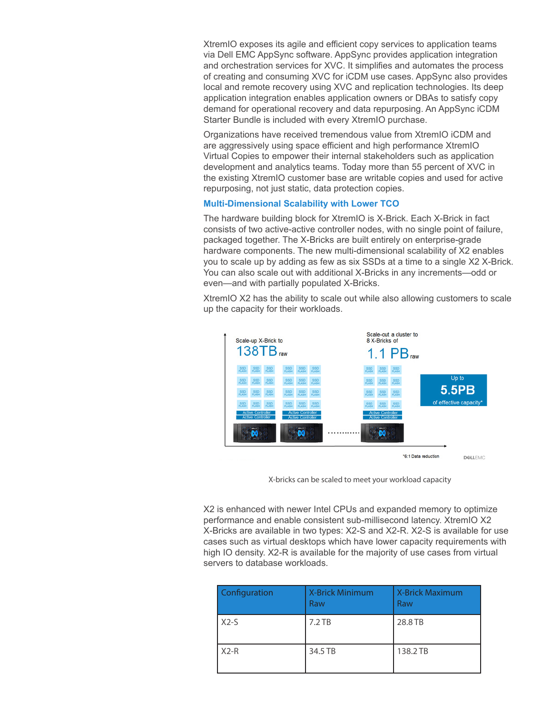XtremIO exposes its agile and efficient copy services to application teams via Dell EMC AppSync software. AppSync provides application integration and orchestration services for XVC. It simplifies and automates the process of creating and consuming XVC for iCDM use cases. AppSync also provides local and remote recovery using XVC and replication technologies. Its deep application integration enables application owners or DBAs to satisfy copy demand for operational recovery and data repurposing. An AppSync iCDM Starter Bundle is included with every XtremIO purchase.

Organizations have received tremendous value from XtremIO iCDM and are aggressively using space efficient and high performance XtremIO Virtual Copies to empower their internal stakeholders such as application development and analytics teams. Today more than 55 percent of XVC in the existing XtremIO customer base are writable copies and used for active repurposing, not just static, data protection copies.

#### **Multi-Dimensional Scalability with Lower TCO**

The hardware building block for XtremIO is X-Brick. Each X-Brick in fact consists of two active-active controller nodes, with no single point of failure, packaged together. The X-Bricks are built entirely on enterprise-grade hardware components. The new multi-dimensional scalability of X2 enables you to scale up by adding as few as six SSDs at a time to a single X2 X-Brick. You can also scale out with additional X-Bricks in any increments—odd or even—and with partially populated X-Bricks.

XtremIO X2 has the ability to scale out while also allowing customers to scale up the capacity for their workloads.



X-bricks can be scaled to meet your workload capacity

X2 is enhanced with newer Intel CPUs and expanded memory to optimize performance and enable consistent sub-millisecond latency. XtremIO X2 X-Bricks are available in two types: X2-S and X2-R. X2-S is available for use cases such as virtual desktops which have lower capacity requirements with high IO density. X2-R is available for the majority of use cases from virtual servers to database workloads.

| <b>Configuration</b> | <b>X-Brick Minimum</b><br>Raw | <b>X-Brick Maximum</b><br>Raw |
|----------------------|-------------------------------|-------------------------------|
| $X2-S$               | $7.2$ TB                      | 28.8 TB                       |
| $X2-R$               | 34.5 TB                       | 138.2 TB                      |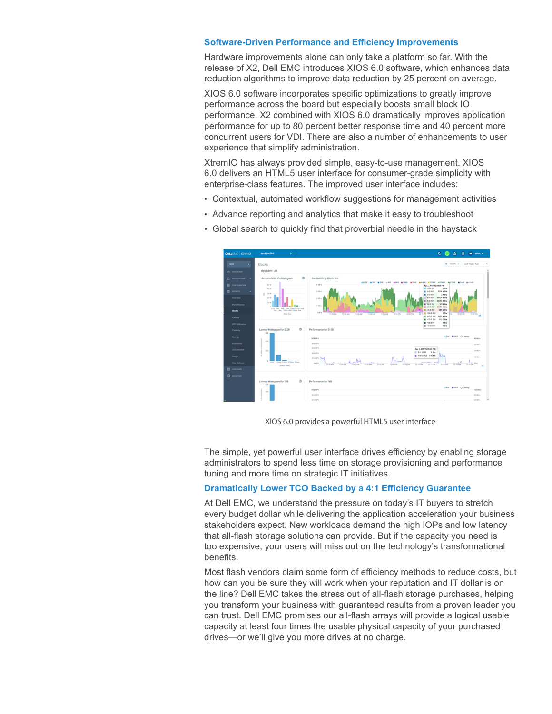#### **Software-Driven Performance and Efficiency Improvements**

Hardware improvements alone can only take a platform so far. With the release of X2, Dell EMC introduces XIOS 6.0 software, which enhances data reduction algorithms to improve data reduction by 25 percent on average.

XIOS 6.0 software incorporates specific optimizations to greatly improve performance across the board but especially boosts small block IO performance. X2 combined with XIOS 6.0 dramatically improves application performance for up to 80 percent better response time and 40 percent more concurrent users for VDI. There are also a number of enhancements to user experience that simplify administration.

XtremIO has always provided simple, easy-to-use management. XIOS 6.0 delivers an HTML5 user interface for consumer-grade simplicity with enterprise-class features. The improved user interface includes:

- Contextual, automated workflow suggestions for management activities
- Advance reporting and analytics that make it easy to troubleshoot
	- $\frac{100}{100}$
- Global search to quickly find that proverbial needle in the haystack

XIOS 6.0 provides a powerful HTML5 user interface

The simple, yet powerful user interface drives efficiency by enabling storage administrators to spend less time on storage provisioning and performance tuning and more time on strategic IT initiatives.

### **Dramatically Lower TCO Backed by a 4:1 Efficiency Guarantee**

At Dell EMC, we understand the pressure on today's IT buyers to stretch every budget dollar while delivering the application acceleration your business stakeholders expect. New workloads demand the high IOPs and low latency that all-flash storage solutions can provide. But if the capacity you need is too expensive, your users will miss out on the technology's transformational benefits.

Most flash vendors claim some form of efficiency methods to reduce costs, but how can you be sure they will work when your reputation and IT dollar is on the line? Dell EMC takes the stress out of all-flash storage purchases, helping you transform your business with guaranteed results from a proven leader you can trust. Dell EMC promises our all-flash arrays will provide a logical usable capacity at least four times the usable physical capacity of your purchased drives—or we'll give you more drives at no charge.